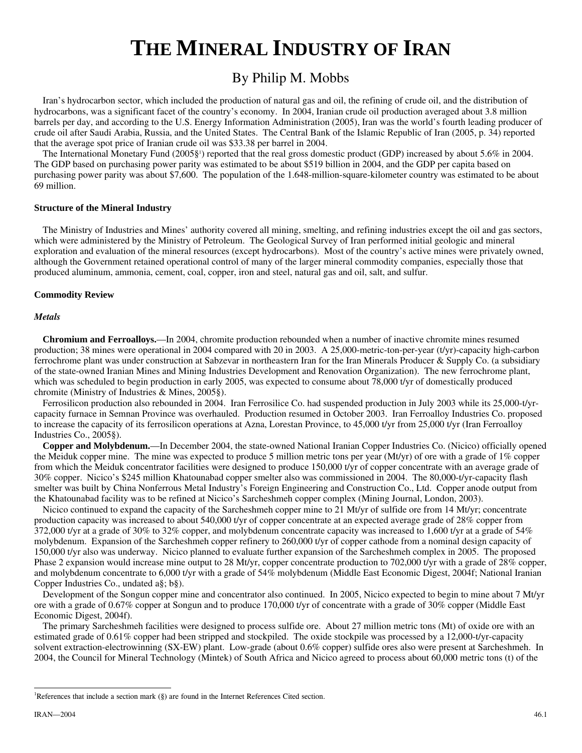# **THE MINERAL INDUSTRY OF IRAN**

# By Philip M. Mobbs

Iran's hydrocarbon sector, which included the production of natural gas and oil, the refining of crude oil, and the distribution of hydrocarbons, was a significant facet of the country's economy. In 2004, Iranian crude oil production averaged about 3.8 million barrels per day, and according to the U.S. Energy Information Administration (2005), Iran was the world's fourth leading producer of crude oil after Saudi Arabia, Russia, and the United States. The Central Bank of the Islamic Republic of Iran (2005, p. 34) reported that the average spot price of Iranian crude oil was \$33.38 per barrel in 2004.

The International Monetary Fund (2005§<sup>[1](#page-0-0)</sup>) reported that the real gross domestic product (GDP) increased by about 5.6% in 2004. The GDP based on purchasing power parity was estimated to be about \$519 billion in 2004, and the GDP per capita based on purchasing power parity was about \$7,600. The population of the 1.648-million-square-kilometer country was estimated to be about 69 million.

#### **Structure of the Mineral Industry**

The Ministry of Industries and Mines' authority covered all mining, smelting, and refining industries except the oil and gas sectors, which were administered by the Ministry of Petroleum. The Geological Survey of Iran performed initial geologic and mineral exploration and evaluation of the mineral resources (except hydrocarbons). Most of the country's active mines were privately owned, although the Government retained operational control of many of the larger mineral commodity companies, especially those that produced aluminum, ammonia, cement, coal, copper, iron and steel, natural gas and oil, salt, and sulfur.

## **Commodity Review**

#### *Metals*

**Chromium and Ferroalloys.**—In 2004, chromite production rebounded when a number of inactive chromite mines resumed production; 38 mines were operational in 2004 compared with 20 in 2003. A 25,000-metric-ton-per-year (t/yr)-capacity high-carbon ferrochrome plant was under construction at Sabzevar in northeastern Iran for the Iran Minerals Producer & Supply Co. (a subsidiary of the state-owned Iranian Mines and Mining Industries Development and Renovation Organization). The new ferrochrome plant, which was scheduled to begin production in early 2005, was expected to consume about 78,000 t/yr of domestically produced chromite (Ministry of Industries & Mines, 2005§).

Ferrosilicon production also rebounded in 2004. Iran Ferrosilice Co. had suspended production in July 2003 while its 25,000-t/yrcapacity furnace in Semnan Province was overhauled. Production resumed in October 2003. Iran Ferroalloy Industries Co. proposed to increase the capacity of its ferrosilicon operations at Azna, Lorestan Province, to 45,000 t/yr from 25,000 t/yr (Iran Ferroalloy Industries Co., 2005§).

**Copper and Molybdenum.**—In December 2004, the state-owned National Iranian Copper Industries Co. (Nicico) officially opened the Meiduk copper mine. The mine was expected to produce 5 million metric tons per year (Mt/yr) of ore with a grade of 1% copper from which the Meiduk concentrator facilities were designed to produce 150,000 t/yr of copper concentrate with an average grade of 30% copper. Nicico's \$245 million Khatounabad copper smelter also was commissioned in 2004. The 80,000-t/yr-capacity flash smelter was built by China Nonferrous Metal Industry's Foreign Engineering and Construction Co., Ltd. Copper anode output from the Khatounabad facility was to be refined at Nicico's Sarcheshmeh copper complex (Mining Journal, London, 2003).

Nicico continued to expand the capacity of the Sarcheshmeh copper mine to 21 Mt/yr of sulfide ore from 14 Mt/yr; concentrate production capacity was increased to about 540,000 t/yr of copper concentrate at an expected average grade of 28% copper from 372,000 t/yr at a grade of 30% to 32% copper, and molybdenum concentrate capacity was increased to 1,600 t/yr at a grade of 54% molybdenum. Expansion of the Sarcheshmeh copper refinery to 260,000 t/yr of copper cathode from a nominal design capacity of 150,000 t/yr also was underway. Nicico planned to evaluate further expansion of the Sarcheshmeh complex in 2005. The proposed Phase 2 expansion would increase mine output to 28 Mt/yr, copper concentrate production to 702,000 t/yr with a grade of 28% copper, and molybdenum concentrate to 6,000 t/yr with a grade of 54% molybdenum (Middle East Economic Digest, 2004f; National Iranian Copper Industries Co., undated a§; b§).

Development of the Songun copper mine and concentrator also continued. In 2005, Nicico expected to begin to mine about 7 Mt/yr ore with a grade of 0.67% copper at Songun and to produce 170,000 t/yr of concentrate with a grade of 30% copper (Middle East Economic Digest, 2004f).

The primary Sarcheshmeh facilities were designed to process sulfide ore. About 27 million metric tons (Mt) of oxide ore with an estimated grade of 0.61% copper had been stripped and stockpiled. The oxide stockpile was processed by a 12,000-t/yr-capacity solvent extraction-electrowinning (SX-EW) plant. Low-grade (about 0.6% copper) sulfide ores also were present at Sarcheshmeh. In 2004, the Council for Mineral Technology (Mintek) of South Africa and Nicico agreed to process about 60,000 metric tons (t) of the

 $\overline{a}$ 

<span id="page-0-0"></span><sup>&</sup>lt;sup>1</sup>References that include a section mark (§) are found in the Internet References Cited section.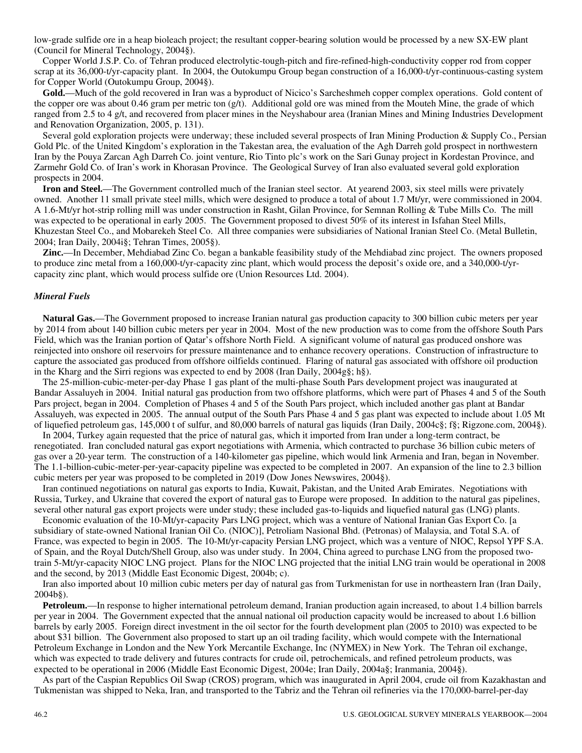low-grade sulfide ore in a heap bioleach project; the resultant copper-bearing solution would be processed by a new SX-EW plant (Council for Mineral Technology, 2004§).

Copper World J.S.P. Co. of Tehran produced electrolytic-tough-pitch and fire-refined-high-conductivity copper rod from copper scrap at its 36,000-t/yr-capacity plant. In 2004, the Outokumpu Group began construction of a 16,000-t/yr-continuous-casting system for Copper World (Outokumpu Group, 2004§).

**Gold.**—Much of the gold recovered in Iran was a byproduct of Nicico's Sarcheshmeh copper complex operations. Gold content of the copper ore was about 0.46 gram per metric ton (g/t). Additional gold ore was mined from the Mouteh Mine, the grade of which ranged from 2.5 to 4 g/t, and recovered from placer mines in the Neyshabour area (Iranian Mines and Mining Industries Development and Renovation Organization, 2005, p. 131).

Several gold exploration projects were underway; these included several prospects of Iran Mining Production & Supply Co., Persian Gold Plc. of the United Kingdom's exploration in the Takestan area, the evaluation of the Agh Darreh gold prospect in northwestern Iran by the Pouya Zarcan Agh Darreh Co. joint venture, Rio Tinto plc's work on the Sari Gunay project in Kordestan Province, and Zarmehr Gold Co. of Iran's work in Khorasan Province. The Geological Survey of Iran also evaluated several gold exploration prospects in 2004.

**Iron and Steel.**—The Government controlled much of the Iranian steel sector. At yearend 2003, six steel mills were privately owned. Another 11 small private steel mills, which were designed to produce a total of about 1.7 Mt/yr, were commissioned in 2004. A 1.6-Mt/yr hot-strip rolling mill was under construction in Rasht, Gilan Province, for Semnan Rolling & Tube Mills Co. The mill was expected to be operational in early 2005. The Government proposed to divest 50% of its interest in Isfahan Steel Mills, Khuzestan Steel Co., and Mobarekeh Steel Co. All three companies were subsidiaries of National Iranian Steel Co. (Metal Bulletin, 2004; Iran Daily, 2004i§; Tehran Times, 2005§).

**Zinc.**—In December, Mehdiabad Zinc Co. began a bankable feasibility study of the Mehdiabad zinc project. The owners proposed to produce zinc metal from a 160,000-t/yr-capacity zinc plant, which would process the deposit's oxide ore, and a 340,000-t/yrcapacity zinc plant, which would process sulfide ore (Union Resources Ltd. 2004).

#### *Mineral Fuels*

**Natural Gas.**—The Government proposed to increase Iranian natural gas production capacity to 300 billion cubic meters per year by 2014 from about 140 billion cubic meters per year in 2004. Most of the new production was to come from the offshore South Pars Field, which was the Iranian portion of Qatar's offshore North Field. A significant volume of natural gas produced onshore was reinjected into onshore oil reservoirs for pressure maintenance and to enhance recovery operations. Construction of infrastructure to capture the associated gas produced from offshore oilfields continued. Flaring of natural gas associated with offshore oil production in the Kharg and the Sirri regions was expected to end by 2008 (Iran Daily, 2004g§; h§).

The 25-million-cubic-meter-per-day Phase 1 gas plant of the multi-phase South Pars development project was inaugurated at Bandar Assaluyeh in 2004. Initial natural gas production from two offshore platforms, which were part of Phases 4 and 5 of the South Pars project, began in 2004. Completion of Phases 4 and 5 of the South Pars project, which included another gas plant at Bandar Assaluyeh, was expected in 2005. The annual output of the South Pars Phase 4 and 5 gas plant was expected to include about 1.05 Mt of liquefied petroleum gas, 145,000 t of sulfur, and 80,000 barrels of natural gas liquids (Iran Daily, 2004c§; f§; Rigzone.com, 2004§).

In 2004, Turkey again requested that the price of natural gas, which it imported from Iran under a long-term contract, be renegotiated. Iran concluded natural gas export negotiations with Armenia, which contracted to purchase 36 billion cubic meters of gas over a 20-year term. The construction of a 140-kilometer gas pipeline, which would link Armenia and Iran, began in November. The 1.1-billion-cubic-meter-per-year-capacity pipeline was expected to be completed in 2007. An expansion of the line to 2.3 billion cubic meters per year was proposed to be completed in 2019 (Dow Jones Newswires, 2004§).

Iran continued negotiations on natural gas exports to India, Kuwait, Pakistan, and the United Arab Emirates. Negotiations with Russia, Turkey, and Ukraine that covered the export of natural gas to Europe were proposed. In addition to the natural gas pipelines, several other natural gas export projects were under study; these included gas-to-liquids and liquefied natural gas (LNG) plants.

Economic evaluation of the 10-Mt/yr-capacity Pars LNG project, which was a venture of National Iranian Gas Export Co. [a subsidiary of state-owned National Iranian Oil Co. (NIOC)], Petroliam Nasional Bhd. (Petronas) of Malaysia, and Total S.A. of France, was expected to begin in 2005. The 10-Mt/yr-capacity Persian LNG project, which was a venture of NIOC, Repsol YPF S.A. of Spain, and the Royal Dutch/Shell Group, also was under study. In 2004, China agreed to purchase LNG from the proposed twotrain 5-Mt/yr-capacity NIOC LNG project. Plans for the NIOC LNG projected that the initial LNG train would be operational in 2008 and the second, by 2013 (Middle East Economic Digest, 2004b; c).

Iran also imported about 10 million cubic meters per day of natural gas from Turkmenistan for use in northeastern Iran (Iran Daily, 2004b§).

**Petroleum.**—In response to higher international petroleum demand, Iranian production again increased, to about 1.4 billion barrels per year in 2004. The Government expected that the annual national oil production capacity would be increased to about 1.6 billion barrels by early 2005. Foreign direct investment in the oil sector for the fourth development plan (2005 to 2010) was expected to be about \$31 billion. The Government also proposed to start up an oil trading facility, which would compete with the International Petroleum Exchange in London and the New York Mercantile Exchange, Inc (NYMEX) in New York. The Tehran oil exchange, which was expected to trade delivery and futures contracts for crude oil, petrochemicals, and refined petroleum products, was expected to be operational in 2006 (Middle East Economic Digest, 2004e; Iran Daily, 2004a§; Iranmania, 2004§).

As part of the Caspian Republics Oil Swap (CROS) program, which was inaugurated in April 2004, crude oil from Kazakhastan and Tukmenistan was shipped to Neka, Iran, and transported to the Tabriz and the Tehran oil refineries via the 170,000-barrel-per-day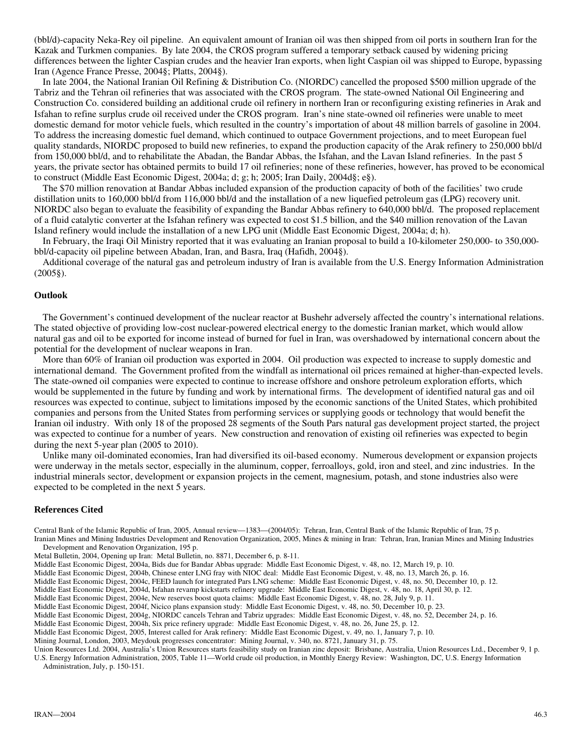(bbl/d)-capacity Neka-Rey oil pipeline. An equivalent amount of Iranian oil was then shipped from oil ports in southern Iran for the Kazak and Turkmen companies. By late 2004, the CROS program suffered a temporary setback caused by widening pricing differences between the lighter Caspian crudes and the heavier Iran exports, when light Caspian oil was shipped to Europe, bypassing Iran (Agence France Presse, 2004§; Platts, 2004§).

In late 2004, the National Iranian Oil Refining & Distribution Co. (NIORDC) cancelled the proposed \$500 million upgrade of the Tabriz and the Tehran oil refineries that was associated with the CROS program. The state-owned National Oil Engineering and Construction Co. considered building an additional crude oil refinery in northern Iran or reconfiguring existing refineries in Arak and Isfahan to refine surplus crude oil received under the CROS program. Iran's nine state-owned oil refineries were unable to meet domestic demand for motor vehicle fuels, which resulted in the country's importation of about 48 million barrels of gasoline in 2004. To address the increasing domestic fuel demand, which continued to outpace Government projections, and to meet European fuel quality standards, NIORDC proposed to build new refineries, to expand the production capacity of the Arak refinery to 250,000 bbl/d from 150,000 bbl/d, and to rehabilitate the Abadan, the Bandar Abbas, the Isfahan, and the Lavan Island refineries. In the past 5 years, the private sector has obtained permits to build 17 oil refineries; none of these refineries, however, has proved to be economical to construct (Middle East Economic Digest, 2004a; d; g; h; 2005; Iran Daily, 2004d§; e§).

The \$70 million renovation at Bandar Abbas included expansion of the production capacity of both of the facilities' two crude distillation units to 160,000 bbl/d from 116,000 bbl/d and the installation of a new liquefied petroleum gas (LPG) recovery unit. NIORDC also began to evaluate the feasibility of expanding the Bandar Abbas refinery to 640,000 bbl/d. The proposed replacement of a fluid catalytic converter at the Isfahan refinery was expected to cost \$1.5 billion, and the \$40 million renovation of the Lavan Island refinery would include the installation of a new LPG unit (Middle East Economic Digest, 2004a; d; h).

In February, the Iraqi Oil Ministry reported that it was evaluating an Iranian proposal to build a 10-kilometer 250,000- to 350,000 bbl/d-capacity oil pipeline between Abadan, Iran, and Basra, Iraq (Hafidh, 2004§).

Additional coverage of the natural gas and petroleum industry of Iran is available from the U.S. Energy Information Administration (2005§).

#### **Outlook**

The Government's continued development of the nuclear reactor at Bushehr adversely affected the country's international relations. The stated objective of providing low-cost nuclear-powered electrical energy to the domestic Iranian market, which would allow natural gas and oil to be exported for income instead of burned for fuel in Iran, was overshadowed by international concern about the potential for the development of nuclear weapons in Iran.

More than 60% of Iranian oil production was exported in 2004. Oil production was expected to increase to supply domestic and international demand. The Government profited from the windfall as international oil prices remained at higher-than-expected levels. The state-owned oil companies were expected to continue to increase offshore and onshore petroleum exploration efforts, which would be supplemented in the future by funding and work by international firms. The development of identified natural gas and oil resources was expected to continue, subject to limitations imposed by the economic sanctions of the United States, which prohibited companies and persons from the United States from performing services or supplying goods or technology that would benefit the Iranian oil industry. With only 18 of the proposed 28 segments of the South Pars natural gas development project started, the project was expected to continue for a number of years. New construction and renovation of existing oil refineries was expected to begin during the next 5-year plan (2005 to 2010).

Unlike many oil-dominated economies, Iran had diversified its oil-based economy. Numerous development or expansion projects were underway in the metals sector, especially in the aluminum, copper, ferroalloys, gold, iron and steel, and zinc industries. In the industrial minerals sector, development or expansion projects in the cement, magnesium, potash, and stone industries also were expected to be completed in the next 5 years.

#### **References Cited**

Central Bank of the Islamic Republic of Iran, 2005, Annual review—1383—(2004/05): Tehran, Iran, Central Bank of the Islamic Republic of Iran, 75 p.

Iranian Mines and Mining Industries Development and Renovation Organization, 2005, Mines & mining in Iran: Tehran, Iran, Iranian Mines and Mining Industries Development and Renovation Organization, 195 p.

Metal Bulletin, 2004, Opening up Iran: Metal Bulletin, no. 8871, December 6, p. 8-11.

Middle East Economic Digest, 2004a, Bids due for Bandar Abbas upgrade: Middle East Economic Digest, v. 48, no. 12, March 19, p. 10.

Middle East Economic Digest, 2004b, Chinese enter LNG fray with NIOC deal: Middle East Economic Digest, v. 48, no. 13, March 26, p. 16.

Middle East Economic Digest, 2004c, FEED launch for integrated Pars LNG scheme: Middle East Economic Digest, v. 48, no. 50, December 10, p. 12.

Middle East Economic Digest, 2004d, Isfahan revamp kickstarts refinery upgrade: Middle East Economic Digest, v. 48, no. 18, April 30, p. 12.

Middle East Economic Digest, 2004e, New reserves boost quota claims: Middle East Economic Digest, v. 48, no. 28, July 9, p. 11.

Middle East Economic Digest, 2004f, Nicico plans expansion study: Middle East Economic Digest, v. 48, no. 50, December 10, p. 23.

Middle East Economic Digest, 2004g, NIORDC cancels Tehran and Tabriz upgrades: Middle East Economic Digest, v. 48, no. 52, December 24, p. 16.

Middle East Economic Digest, 2004h, Six price refinery upgrade: Middle East Economic Digest, v. 48, no. 26, June 25, p. 12.

Middle East Economic Digest, 2005, Interest called for Arak refinery: Middle East Economic Digest, v. 49, no. 1, January 7, p. 10.

Mining Journal, London, 2003, Meydouk progresses concentrator: Mining Journal, v. 340, no. 8721, January 31, p. 75.

Union Resources Ltd. 2004, Australia's Union Resources starts feasibility study on Iranian zinc deposit: Brisbane, Australia, Union Resources Ltd., December 9, 1 p. U.S. Energy Information Administration, 2005, Table 11—World crude oil production, in Monthly Energy Review: Washington, DC, U.S. Energy Information

Administration, July, p. 150-151.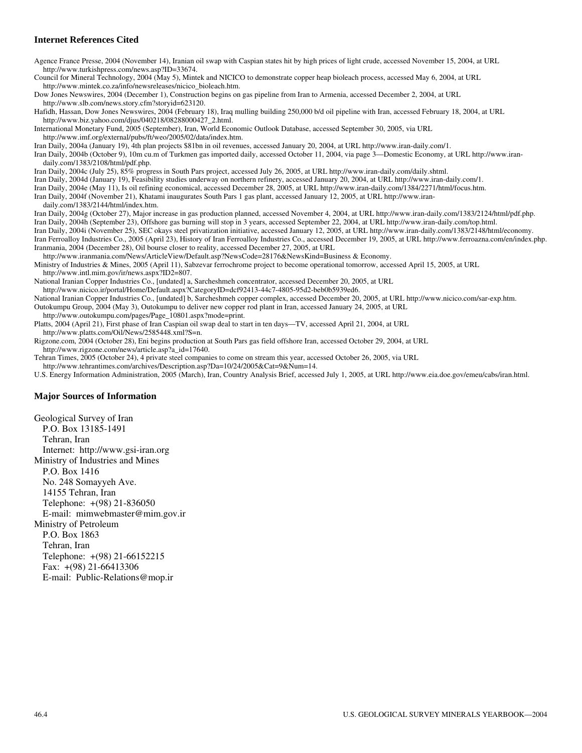## **Internet References Cited**

Agence France Presse, 2004 (November 14), Iranian oil swap with Caspian states hit by high prices of light crude, accessed November 15, 2004, at URL http://www.turkishpress.com/news.asp?ID=33674.

Council for Mineral Technology, 2004 (May 5), Mintek and NICICO to demonstrate copper heap bioleach process, accessed May 6, 2004, at URL http://www.mintek.co.za/info/newsreleases/nicico\_bioleach.htm.

Dow Jones Newswires, 2004 (December 1), Construction begins on gas pipeline from Iran to Armenia, accessed December 2, 2004, at URL http://www.slb.com/news.story.cfm?storyid=623120.

Hafidh, Hassan, Dow Jones Newswires, 2004 (February 18), Iraq mulling building 250,000 b/d oil pipeline with Iran, accessed February 18, 2004, at URL http://www.biz.yahoo.com/djus/040218/08288000427\_2.html.

International Monetary Fund, 2005 (September), Iran, World Economic Outlook Database, accessed September 30, 2005, via URL http://www.imf.org/external/pubs/ft/weo/2005/02/data/index.htm.

Iran Daily, 2004a (January 19), 4th plan projects \$81bn in oil revenues, accessed January 20, 2004, at URL http://www.iran-daily.com/1.

Iran Daily, 2004b (October 9), 10m cu.m of Turkmen gas imported daily, accessed October 11, 2004, via page 3—Domestic Economy, at URL http://www.irandaily.com/1383/2108/html/pdf.php.

Iran Daily, 2004c (July 25), 85% progress in South Pars project, accessed July 26, 2005, at URL http://www.iran-daily.com/daily.shtml.

Iran Daily, 2004d (January 19), Feasibility studies underway on northern refinery, accessed January 20, 2004, at URL http://www.iran-daily.com/1.

Iran Daily, 2004e (May 11), Is oil refining economical, accessed December 28, 2005, at URL http://www.iran-daily.com/1384/2271/html/focus.htm.

Iran Daily, 2004f (November 21), Khatami inaugurates South Pars 1 gas plant, accessed January 12, 2005, at URL http://www.iran-

daily.com/1383/2144/html/index.htm.

Iran Daily, 2004g (October 27), Major increase in gas production planned, accessed November 4, 2004, at URL http://www.iran-daily.com/1383/2124/html/pdf.php. Iran Daily, 2004h (September 23), Offshore gas burning will stop in 3 years, accessed September 22, 2004, at URL http://www.iran-daily.com/top.html.

Iran Daily, 2004i (November 25), SEC okays steel privatization initiative, accessed January 12, 2005, at URL http://www.iran-daily.com/1383/2148/html/economy.

Iran Ferroalloy Industries Co., 2005 (April 23), History of Iran Ferroalloy Industries Co., accessed December 19, 2005, at URL http://www.ferroazna.com/en/index.php. Iranmania, 2004 (December 28), Oil bourse closer to reality, accessed December 27, 2005, at URL

http://www.iranmania.com/News/ArticleView/Default.asp?NewsCode=28176&NewsKind=Business & Economy.

Ministry of Industries & Mines, 2005 (April 11), Sabzevar ferrochrome project to become operational tomorrow, accessed April 15, 2005, at URL http://www.intl.mim.gov/ir/news.aspx?ID2=807.

National Iranian Copper Industries Co., [undated] a, Sarcheshmeh concentrator, accessed December 20, 2005, at URL

http://www.nicico.ir/portal/Home/Default.aspx?CategoryID=dcf92413-44c7-4805-95d2-beb0b5939ed6.

National Iranian Copper Industries Co., [undated] b, Sarcheshmeh copper complex, accessed December 20, 2005, at URL http://www.nicico.com/sar-exp.htm. Outokumpu Group, 2004 (May 3), Outokumpu to deliver new copper rod plant in Iran, accessed January 24, 2005, at URL

http://www.outokumpu.com/pages/Page\_10801.aspx?mode=print.

Platts, 2004 (April 21), First phase of Iran Caspian oil swap deal to start in ten days—TV, accessed April 21, 2004, at URL

http://www.platts.com/Oil/News/2585448.xml?S=n.

Rigzone.com, 2004 (October 28), Eni begins production at South Pars gas field offshore Iran, accessed October 29, 2004, at URL http://www.rigzone.com/news/article.asp?a\_id=17640.

Tehran Times, 2005 (October 24), 4 private steel companies to come on stream this year, accessed October 26, 2005, via URL

http://www.tehrantimes.com/archives/Description.asp?Da=10/24/2005&Cat=9&Num=14.

U.S. Energy Information Administration, 2005 (March), Iran, Country Analysis Brief, accessed July 1, 2005, at URL http://www.eia.doe.gov/emeu/cabs/iran.html.

#### **Major Sources of Information**

Geological Survey of Iran P.O. Box 13185-1491 Tehran, Iran Internet: http://www.gsi-iran.org Ministry of Industries and Mines P.O. Box 1416 No. 248 Somayyeh Ave. 14155 Tehran, Iran Telephone: +(98) 21-836050 E-mail: mimwebmaster@mim.gov.ir Ministry of Petroleum P.O. Box 1863 Tehran, Iran Telephone: +(98) 21-66152215 Fax: +(98) 21-66413306 E-mail: Public-Relations@mop.ir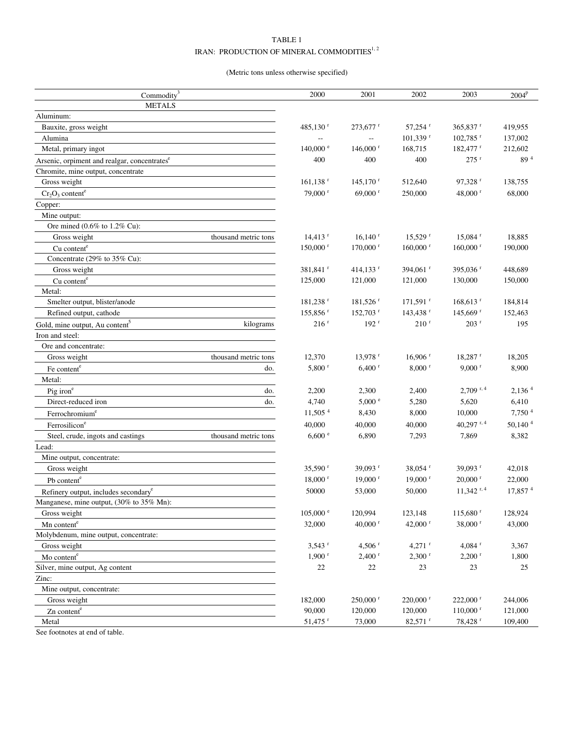# TABLE 1 IRAN: PRODUCTION OF MINERAL COMMODITIES  $\hspace{0.1mm}^{1,2}$

(Metric tons unless otherwise specified)

| Commodity $3$                                             | 2000                    | 2001                   | 2002                   | 2003                        | $2004^p$            |
|-----------------------------------------------------------|-------------------------|------------------------|------------------------|-----------------------------|---------------------|
| <b>METALS</b>                                             |                         |                        |                        |                             |                     |
| Aluminum:                                                 |                         |                        |                        |                             |                     |
| Bauxite, gross weight                                     | 485,130 $r$             | $273,677$ <sup>r</sup> | 57,254 <sup>r</sup>    | 365,837 r                   | 419,955             |
| Alumina                                                   |                         |                        | $101,339$ <sup>r</sup> | $102,785$ <sup>r</sup>      | 137,002             |
| Metal, primary ingot                                      | $140,000$ <sup>e</sup>  | $146,000$ <sup>r</sup> | 168,715                | 182,477 r                   | 212,602             |
| Arsenic, orpiment and realgar, concentrates <sup>e</sup>  | 400                     | 400                    | 400                    | $275$ <sup>r</sup>          | 89 <sup>4</sup>     |
| Chromite, mine output, concentrate                        |                         |                        |                        |                             |                     |
| Gross weight                                              | $161, 138$ <sup>r</sup> | $145,170$ <sup>r</sup> | 512,640                | $97,328$ <sup>r</sup>       | 138,755             |
| $Cr_2O_3$ content <sup>e</sup>                            | 79,000 <sup>r</sup>     | $69,000$ <sup>r</sup>  | 250,000                | 48,000 r                    | 68,000              |
| Copper:                                                   |                         |                        |                        |                             |                     |
| Mine output:                                              |                         |                        |                        |                             |                     |
| Ore mined (0.6% to 1.2% Cu):                              |                         |                        |                        |                             |                     |
| Gross weight<br>thousand metric tons                      | $14,413$ <sup>r</sup>   | $16,140$ <sup>r</sup>  | $15,529$ <sup>r</sup>  | 15,084 <sup>r</sup>         | 18,885              |
| Cu content <sup>e</sup>                                   | $150,000$ <sup>r</sup>  | $170,000$ <sup>r</sup> | $160,000$ <sup>r</sup> | $160,000$ <sup>r</sup>      | 190,000             |
| Concentrate (29% to 35% Cu):                              |                         |                        |                        |                             |                     |
| Gross weight                                              | 381,841 <sup>r</sup>    | $414,133$ <sup>r</sup> | 394,061 <sup>r</sup>   | 395,036 <sup>r</sup>        | 448,689             |
| Cu content <sup>e</sup>                                   | 125,000                 | 121,000                | 121,000                | 130,000                     | 150,000             |
| Metal:                                                    |                         |                        |                        |                             |                     |
| Smelter output, blister/anode                             | $181,238$ <sup>r</sup>  | $181,526$ <sup>r</sup> | $171,591$ <sup>r</sup> | $168,613$ <sup>r</sup>      | 184,814             |
| Refined output, cathode                                   | 155,856 $r$             | $152,703$ <sup>r</sup> | $143,438$ <sup>r</sup> | $145,669$ <sup>r</sup>      | 152,463             |
| Gold, mine output, Au content <sup>5</sup><br>kilograms   | $216$ <sup>r</sup>      | $192$ <sup>r</sup>     | 210 <sup>r</sup>       | $203$ <sup>r</sup>          | 195                 |
| Iron and steel:                                           |                         |                        |                        |                             |                     |
| Ore and concentrate:                                      |                         |                        |                        |                             |                     |
| thousand metric tons<br>Gross weight                      | 12,370                  | 13,978 <sup>r</sup>    | $16,906$ <sup>r</sup>  | $18,287$ <sup>r</sup>       | 18,205              |
| do.<br>Fe content <sup>e</sup>                            | $5,800$ <sup>r</sup>    | $6,400$ <sup>r</sup>   | $8,000$ <sup>r</sup>   | $9,000$ <sup>r</sup>        | 8,900               |
| Metal:                                                    |                         |                        |                        |                             |                     |
| do.<br>Pig iron <sup>e</sup>                              | 2,200                   | 2,300                  | 2,400                  | $2,709$ <sup>r, 4</sup>     | 2,136 <sup>4</sup>  |
| Direct-reduced iron<br>do.                                | 4,740                   | 5,000 °                | 5,280                  | 5,620                       | 6,410               |
| Ferrochromium <sup>e</sup>                                | $11,505$ <sup>4</sup>   | 8,430                  | 8,000                  | 10,000                      | 7,750 4             |
| Ferrosilicon <sup>e</sup>                                 | 40,000                  | 40,000                 | 40,000                 | 40,297 $r, 4$               | 50,140 $4$          |
| Steel, crude, ingots and castings<br>thousand metric tons | 6,600 °                 | 6,890                  | 7,293                  | 7,869                       | 8,382               |
| Lead:                                                     |                         |                        |                        |                             |                     |
| Mine output, concentrate:                                 |                         |                        |                        |                             |                     |
| Gross weight                                              | 35,590 $r$              | 39,093 $r$             | 38,054 <sup>r</sup>    | 39,093 $^{\rm r}$           | 42,018              |
| Pb content <sup>e</sup>                                   | $18,000$ <sup>r</sup>   | $19,000$ <sup>r</sup>  | $19,000$ <sup>r</sup>  | $20,000$ <sup>r</sup>       | 22,000              |
| Refinery output, includes secondary <sup>e</sup>          | 50000                   | 53,000                 | 50,000                 | $11,342$ <sup>r, 4</sup>    | 17,857 <sup>4</sup> |
| Manganese, mine output, (30% to 35% Mn):                  |                         |                        |                        |                             |                     |
| Gross weight                                              | $105{,}000$ $^{\rm e}$  | 120,994                | 123,148                | $115{,}680$ $^{\mathrm{r}}$ | 128,924             |
| Mn content <sup>e</sup>                                   | 32,000                  | 40,000 $^{\rm r}$      | 42,000 $r$             | 38,000 r                    | 43,000              |
| Molybdenum, mine output, concentrate:                     |                         |                        |                        |                             |                     |
| Gross weight                                              | $3,543$ <sup>r</sup>    | 4,506 $r$              | $4,271$ <sup>r</sup>   | $4,084$ <sup>r</sup>        | 3,367               |
| Mo content <sup>e</sup>                                   | $1,900$ <sup>r</sup>    | $2,400$ <sup>r</sup>   | $2,300$ <sup>r</sup>   | $2,200$ <sup>r</sup>        | 1,800               |
| Silver, mine output, Ag content                           | 22                      | 22                     | 23                     | 23                          | 25                  |
| Zinc:                                                     |                         |                        |                        |                             |                     |
| Mine output, concentrate:                                 |                         |                        |                        |                             |                     |
| Gross weight                                              | 182,000                 | $250,000$ <sup>r</sup> | $220,000$ <sup>r</sup> | 222,000 r                   | 244,006             |
| Zn content <sup>e</sup>                                   | 90,000                  | 120,000                | 120,000                | $110,000$ <sup>r</sup>      | 121,000             |
| Metal                                                     | 51,475 <sup>r</sup>     | 73,000                 | $82,571$ <sup>r</sup>  | 78,428 <sup>r</sup>         | 109,400             |

See footnotes at end of table.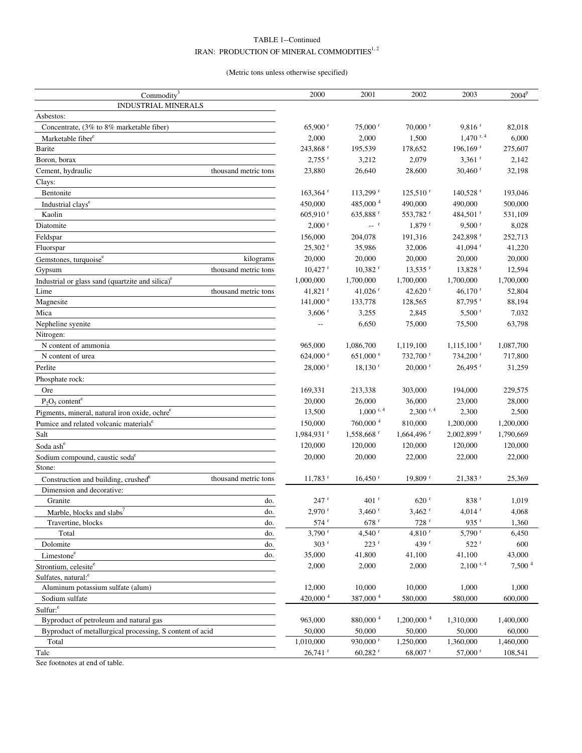# TABLE 1--Continued IRAN: PRODUCTION OF MINERAL COMMODITIES  $\hspace{0.1mm}^{1,2}$

(Metric tons unless otherwise specified)

| <b>INDUSTRIAL MINERALS</b><br>Asbestos:<br>$65,900$ <sup>r</sup><br>$75,000$ <sup>r</sup><br>$70,000$ r<br>$9,816$ <sup>r</sup><br>82,018<br>Concentrate, (3% to 8% marketable fiber)<br>$1,470$ <sup>r, 4</sup><br>2,000<br>2,000<br>6,000<br>1,500<br>Marketable fiber <sup>e</sup><br>243,868 <sup>r</sup><br>195,539<br>$196, 169$ <sup>r</sup><br>275,607<br>Barite<br>178,652<br>$2,755$ <sup>r</sup><br>3,212<br>2,079<br>$3,361$ <sup>r</sup><br>2,142<br>Boron, borax<br>23,880<br>26,640<br>28,600<br>$30,460$ <sup>r</sup><br>32,198<br>Cement, hydraulic<br>thousand metric tons<br>Clays:<br>Bentonite<br>$163,364$ <sup>r</sup><br>$113,299$ <sup>r</sup><br>$125,510$ <sup>r</sup><br>$140,528$ <sup>r</sup><br>193,046<br>485,000 <sup>4</sup><br>450,000<br>490,000<br>490,000<br>500,000<br>Industrial clays <sup>e</sup><br>$605,910$ <sup>r</sup><br>635,888 <sup>r</sup><br>553,782 <sup>r</sup><br>484,501 <sup>r</sup><br>531,109<br>Kaolin<br>$\sim$ <sup>r</sup><br>$2,000$ <sup>r</sup><br>$1,879$ <sup>r</sup><br>$9,500$ <sup>r</sup><br>8,028<br>Diatomite<br>156,000<br>204,078<br>191,316<br>242,898 r<br>252,713<br>Feldspar<br>$25,302$ <sup>r</sup><br>Fluorspar<br>35,986<br>32,006<br>41,094 $^{\rm r}$<br>41,220<br>20,000<br>20,000<br>20,000<br>20,000<br>20,000<br>Gemstones, turquoise <sup>e</sup><br>kilograms<br>$10,427$ <sup>r</sup><br>$10,382$ <sup>r</sup><br>$13,535$ <sup>r</sup><br>13,828 r<br>12,594<br>Gypsum<br>thousand metric tons<br>1,700,000<br>1,000,000<br>1,700,000<br>1,700,000<br>1,700,000<br>Industrial or glass sand (quartzite and silica) <sup>e</sup><br>41,821 <sup>r</sup><br>Lime<br>thousand metric tons<br>41,026 $r$<br>42,620 $r$<br>$46,170$ <sup>r</sup><br>52,804<br>$141,000$ <sup>e</sup><br>$87,795$ <sup>r</sup><br>88,194<br>Magnesite<br>133,778<br>128,565<br>$3,606$ <sup>r</sup><br>3,255<br>2,845<br>$5,500$ <sup>r</sup><br>7,032<br>Mica<br>Nepheline syenite<br>63,798<br>6,650<br>75,000<br>75,500<br>Nitrogen:<br>N content of ammonia<br>965,000<br>1,086,700<br>1,119,100<br>$1,115,100$ <sup>r</sup><br>1,087,700<br>624,000 $^{\circ}$<br>$651,000$ e<br>N content of urea<br>$732,700$ <sup>r</sup><br>$734,200$ <sup>r</sup><br>717,800<br>$28,000$ <sup>r</sup><br>$18,130$ <sup>r</sup><br>$20,000$ <sup>r</sup><br>$26,495$ <sup>r</sup><br>31,259<br>Perlite<br>Phosphate rock:<br>Ore<br>169,331<br>213,338<br>303,000<br>194,000<br>229,575<br>$P_2O_5$ content <sup>e</sup><br>20,000<br>26,000<br>36,000<br>23,000<br>28,000<br>$1,000$ <sup>r, 4</sup><br>$2,300$ <sup>r, 4</sup><br>13,500<br>2,300<br>2,500<br>Pigments, mineral, natural iron oxide, ochre <sup>e</sup><br>$760,\!000$ $^4$<br>150,000<br>810,000<br>1,200,000<br>1,200,000<br>Pumice and related volcanic materials <sup>e</sup><br>Salt<br>$1,984,931$ <sup>r</sup><br>1,558,668 r<br>$1,664,496$ <sup>r</sup><br>$2,002,899$ <sup>r</sup><br>1,790,669<br>120,000<br>Soda ash <sup>e</sup><br>120,000<br>120,000<br>120,000<br>120,000<br>20,000<br>20,000<br>22,000<br>22,000<br>22,000<br>Sodium compound, caustic soda <sup>e</sup><br>Stone:<br>Construction and building, crushed <sup>6</sup><br>thousand metric tons<br>$11.783$ <sup>r</sup><br>$16,450$ <sup>r</sup><br>$19,809$ <sup>r</sup><br>$21.383$ <sup>r</sup><br>25,369<br>Dimension and decorative:<br>247r<br>$401$ <sup>r</sup><br>620 r<br>838 <sup>r</sup><br>Granite<br>do.<br>1,019<br>Marble, blocks and slabs <sup>7</sup><br>$2,\!970$ r<br>$3{,}460$ $^{\mathrm{r}}$<br>$3,462$ <sup>r</sup><br>$4{,}014$ $^{\mathrm{r}}$<br>do.<br>4,068<br>$574$ <sup>r</sup><br>$678$ <sup>r</sup><br>$728$ <sup>r</sup><br>935 $r$<br>1,360<br>Travertine, blocks<br>do.<br>$3,790$ <sup>r</sup><br>$4,540$ <sup>r</sup><br>$4,810$ <sup>r</sup><br>$5,790$ <sup>r</sup><br>6,450<br>Total<br>do.<br>$303$ <sup>r</sup><br>$223$ <sup>r</sup><br>439 <sup>r</sup><br>$522$ <sup>r</sup><br>Dolomite<br>600<br>do.<br>35,000<br>41,800<br>41,100<br>41,100<br>43,000<br>Limestone <sup>e</sup><br>do.<br>$2,100^{r,4}$<br>7,500 <sup>4</sup><br>2,000<br>2,000<br>2,000<br>Strontium, celesite <sup>e</sup><br>Sulfates, natural: <sup>e</sup><br>Aluminum potassium sulfate (alum)<br>12,000<br>10,000<br>10,000<br>1,000<br>1,000<br>420,000 4<br>387,000 4<br>580,000<br>580,000<br>600,000<br>Sodium sulfate<br>Sulfur: <sup>e</sup><br>1,200,000 <sup>4</sup><br>880,000 <sup>4</sup><br>Byproduct of petroleum and natural gas<br>963,000<br>1,310,000<br>1,400,000<br>50,000<br>50,000<br>50,000<br>50,000<br>60,000<br>Byproduct of metallurgical processing, S content of acid<br>1,010,000<br>930,000 <sup>r</sup><br>1,250,000<br>Total<br>1,360,000<br>1,460,000<br>$26,741$ <sup>r</sup><br>57,000 <sup>r</sup><br>Talc<br>$60,282$ <sup>r</sup><br>$68,007$ <sup>r</sup><br>108,541 | Commodity <sup>3</sup> | 2000 | 2001 | 2002 | 2003 | 2004 <sup>p</sup> |
|---------------------------------------------------------------------------------------------------------------------------------------------------------------------------------------------------------------------------------------------------------------------------------------------------------------------------------------------------------------------------------------------------------------------------------------------------------------------------------------------------------------------------------------------------------------------------------------------------------------------------------------------------------------------------------------------------------------------------------------------------------------------------------------------------------------------------------------------------------------------------------------------------------------------------------------------------------------------------------------------------------------------------------------------------------------------------------------------------------------------------------------------------------------------------------------------------------------------------------------------------------------------------------------------------------------------------------------------------------------------------------------------------------------------------------------------------------------------------------------------------------------------------------------------------------------------------------------------------------------------------------------------------------------------------------------------------------------------------------------------------------------------------------------------------------------------------------------------------------------------------------------------------------------------------------------------------------------------------------------------------------------------------------------------------------------------------------------------------------------------------------------------------------------------------------------------------------------------------------------------------------------------------------------------------------------------------------------------------------------------------------------------------------------------------------------------------------------------------------------------------------------------------------------------------------------------------------------------------------------------------------------------------------------------------------------------------------------------------------------------------------------------------------------------------------------------------------------------------------------------------------------------------------------------------------------------------------------------------------------------------------------------------------------------------------------------------------------------------------------------------------------------------------------------------------------------------------------------------------------------------------------------------------------------------------------------------------------------------------------------------------------------------------------------------------------------------------------------------------------------------------------------------------------------------------------------------------------------------------------------------------------------------------------------------------------------------------------------------------------------------------------------------------------------------------------------------------------------------------------------------------------------------------------------------------------------------------------------------------------------------------------------------------------------------------------------------------------------------------------------------------------------------------------------------------------------------------------------------------------------------------------------------------------------------------------------------------------------------------------------------------------------------------------------------------------------------------------------------------------------------------------------------------------------------------------------------------------------------------------------------------------------------------------------------------------------------------------------------------------------------------------------------------------------------------------------------------------------------------|------------------------|------|------|------|------|-------------------|
|                                                                                                                                                                                                                                                                                                                                                                                                                                                                                                                                                                                                                                                                                                                                                                                                                                                                                                                                                                                                                                                                                                                                                                                                                                                                                                                                                                                                                                                                                                                                                                                                                                                                                                                                                                                                                                                                                                                                                                                                                                                                                                                                                                                                                                                                                                                                                                                                                                                                                                                                                                                                                                                                                                                                                                                                                                                                                                                                                                                                                                                                                                                                                                                                                                                                                                                                                                                                                                                                                                                                                                                                                                                                                                                                                                                                                                                                                                                                                                                                                                                                                                                                                                                                                                                                                                                                                                                                                                                                                                                                                                                                                                                                                                                                                                                                                                                         |                        |      |      |      |      |                   |
|                                                                                                                                                                                                                                                                                                                                                                                                                                                                                                                                                                                                                                                                                                                                                                                                                                                                                                                                                                                                                                                                                                                                                                                                                                                                                                                                                                                                                                                                                                                                                                                                                                                                                                                                                                                                                                                                                                                                                                                                                                                                                                                                                                                                                                                                                                                                                                                                                                                                                                                                                                                                                                                                                                                                                                                                                                                                                                                                                                                                                                                                                                                                                                                                                                                                                                                                                                                                                                                                                                                                                                                                                                                                                                                                                                                                                                                                                                                                                                                                                                                                                                                                                                                                                                                                                                                                                                                                                                                                                                                                                                                                                                                                                                                                                                                                                                                         |                        |      |      |      |      |                   |
|                                                                                                                                                                                                                                                                                                                                                                                                                                                                                                                                                                                                                                                                                                                                                                                                                                                                                                                                                                                                                                                                                                                                                                                                                                                                                                                                                                                                                                                                                                                                                                                                                                                                                                                                                                                                                                                                                                                                                                                                                                                                                                                                                                                                                                                                                                                                                                                                                                                                                                                                                                                                                                                                                                                                                                                                                                                                                                                                                                                                                                                                                                                                                                                                                                                                                                                                                                                                                                                                                                                                                                                                                                                                                                                                                                                                                                                                                                                                                                                                                                                                                                                                                                                                                                                                                                                                                                                                                                                                                                                                                                                                                                                                                                                                                                                                                                                         |                        |      |      |      |      |                   |
|                                                                                                                                                                                                                                                                                                                                                                                                                                                                                                                                                                                                                                                                                                                                                                                                                                                                                                                                                                                                                                                                                                                                                                                                                                                                                                                                                                                                                                                                                                                                                                                                                                                                                                                                                                                                                                                                                                                                                                                                                                                                                                                                                                                                                                                                                                                                                                                                                                                                                                                                                                                                                                                                                                                                                                                                                                                                                                                                                                                                                                                                                                                                                                                                                                                                                                                                                                                                                                                                                                                                                                                                                                                                                                                                                                                                                                                                                                                                                                                                                                                                                                                                                                                                                                                                                                                                                                                                                                                                                                                                                                                                                                                                                                                                                                                                                                                         |                        |      |      |      |      |                   |
|                                                                                                                                                                                                                                                                                                                                                                                                                                                                                                                                                                                                                                                                                                                                                                                                                                                                                                                                                                                                                                                                                                                                                                                                                                                                                                                                                                                                                                                                                                                                                                                                                                                                                                                                                                                                                                                                                                                                                                                                                                                                                                                                                                                                                                                                                                                                                                                                                                                                                                                                                                                                                                                                                                                                                                                                                                                                                                                                                                                                                                                                                                                                                                                                                                                                                                                                                                                                                                                                                                                                                                                                                                                                                                                                                                                                                                                                                                                                                                                                                                                                                                                                                                                                                                                                                                                                                                                                                                                                                                                                                                                                                                                                                                                                                                                                                                                         |                        |      |      |      |      |                   |
|                                                                                                                                                                                                                                                                                                                                                                                                                                                                                                                                                                                                                                                                                                                                                                                                                                                                                                                                                                                                                                                                                                                                                                                                                                                                                                                                                                                                                                                                                                                                                                                                                                                                                                                                                                                                                                                                                                                                                                                                                                                                                                                                                                                                                                                                                                                                                                                                                                                                                                                                                                                                                                                                                                                                                                                                                                                                                                                                                                                                                                                                                                                                                                                                                                                                                                                                                                                                                                                                                                                                                                                                                                                                                                                                                                                                                                                                                                                                                                                                                                                                                                                                                                                                                                                                                                                                                                                                                                                                                                                                                                                                                                                                                                                                                                                                                                                         |                        |      |      |      |      |                   |
|                                                                                                                                                                                                                                                                                                                                                                                                                                                                                                                                                                                                                                                                                                                                                                                                                                                                                                                                                                                                                                                                                                                                                                                                                                                                                                                                                                                                                                                                                                                                                                                                                                                                                                                                                                                                                                                                                                                                                                                                                                                                                                                                                                                                                                                                                                                                                                                                                                                                                                                                                                                                                                                                                                                                                                                                                                                                                                                                                                                                                                                                                                                                                                                                                                                                                                                                                                                                                                                                                                                                                                                                                                                                                                                                                                                                                                                                                                                                                                                                                                                                                                                                                                                                                                                                                                                                                                                                                                                                                                                                                                                                                                                                                                                                                                                                                                                         |                        |      |      |      |      |                   |
|                                                                                                                                                                                                                                                                                                                                                                                                                                                                                                                                                                                                                                                                                                                                                                                                                                                                                                                                                                                                                                                                                                                                                                                                                                                                                                                                                                                                                                                                                                                                                                                                                                                                                                                                                                                                                                                                                                                                                                                                                                                                                                                                                                                                                                                                                                                                                                                                                                                                                                                                                                                                                                                                                                                                                                                                                                                                                                                                                                                                                                                                                                                                                                                                                                                                                                                                                                                                                                                                                                                                                                                                                                                                                                                                                                                                                                                                                                                                                                                                                                                                                                                                                                                                                                                                                                                                                                                                                                                                                                                                                                                                                                                                                                                                                                                                                                                         |                        |      |      |      |      |                   |
|                                                                                                                                                                                                                                                                                                                                                                                                                                                                                                                                                                                                                                                                                                                                                                                                                                                                                                                                                                                                                                                                                                                                                                                                                                                                                                                                                                                                                                                                                                                                                                                                                                                                                                                                                                                                                                                                                                                                                                                                                                                                                                                                                                                                                                                                                                                                                                                                                                                                                                                                                                                                                                                                                                                                                                                                                                                                                                                                                                                                                                                                                                                                                                                                                                                                                                                                                                                                                                                                                                                                                                                                                                                                                                                                                                                                                                                                                                                                                                                                                                                                                                                                                                                                                                                                                                                                                                                                                                                                                                                                                                                                                                                                                                                                                                                                                                                         |                        |      |      |      |      |                   |
|                                                                                                                                                                                                                                                                                                                                                                                                                                                                                                                                                                                                                                                                                                                                                                                                                                                                                                                                                                                                                                                                                                                                                                                                                                                                                                                                                                                                                                                                                                                                                                                                                                                                                                                                                                                                                                                                                                                                                                                                                                                                                                                                                                                                                                                                                                                                                                                                                                                                                                                                                                                                                                                                                                                                                                                                                                                                                                                                                                                                                                                                                                                                                                                                                                                                                                                                                                                                                                                                                                                                                                                                                                                                                                                                                                                                                                                                                                                                                                                                                                                                                                                                                                                                                                                                                                                                                                                                                                                                                                                                                                                                                                                                                                                                                                                                                                                         |                        |      |      |      |      |                   |
|                                                                                                                                                                                                                                                                                                                                                                                                                                                                                                                                                                                                                                                                                                                                                                                                                                                                                                                                                                                                                                                                                                                                                                                                                                                                                                                                                                                                                                                                                                                                                                                                                                                                                                                                                                                                                                                                                                                                                                                                                                                                                                                                                                                                                                                                                                                                                                                                                                                                                                                                                                                                                                                                                                                                                                                                                                                                                                                                                                                                                                                                                                                                                                                                                                                                                                                                                                                                                                                                                                                                                                                                                                                                                                                                                                                                                                                                                                                                                                                                                                                                                                                                                                                                                                                                                                                                                                                                                                                                                                                                                                                                                                                                                                                                                                                                                                                         |                        |      |      |      |      |                   |
|                                                                                                                                                                                                                                                                                                                                                                                                                                                                                                                                                                                                                                                                                                                                                                                                                                                                                                                                                                                                                                                                                                                                                                                                                                                                                                                                                                                                                                                                                                                                                                                                                                                                                                                                                                                                                                                                                                                                                                                                                                                                                                                                                                                                                                                                                                                                                                                                                                                                                                                                                                                                                                                                                                                                                                                                                                                                                                                                                                                                                                                                                                                                                                                                                                                                                                                                                                                                                                                                                                                                                                                                                                                                                                                                                                                                                                                                                                                                                                                                                                                                                                                                                                                                                                                                                                                                                                                                                                                                                                                                                                                                                                                                                                                                                                                                                                                         |                        |      |      |      |      |                   |
|                                                                                                                                                                                                                                                                                                                                                                                                                                                                                                                                                                                                                                                                                                                                                                                                                                                                                                                                                                                                                                                                                                                                                                                                                                                                                                                                                                                                                                                                                                                                                                                                                                                                                                                                                                                                                                                                                                                                                                                                                                                                                                                                                                                                                                                                                                                                                                                                                                                                                                                                                                                                                                                                                                                                                                                                                                                                                                                                                                                                                                                                                                                                                                                                                                                                                                                                                                                                                                                                                                                                                                                                                                                                                                                                                                                                                                                                                                                                                                                                                                                                                                                                                                                                                                                                                                                                                                                                                                                                                                                                                                                                                                                                                                                                                                                                                                                         |                        |      |      |      |      |                   |
|                                                                                                                                                                                                                                                                                                                                                                                                                                                                                                                                                                                                                                                                                                                                                                                                                                                                                                                                                                                                                                                                                                                                                                                                                                                                                                                                                                                                                                                                                                                                                                                                                                                                                                                                                                                                                                                                                                                                                                                                                                                                                                                                                                                                                                                                                                                                                                                                                                                                                                                                                                                                                                                                                                                                                                                                                                                                                                                                                                                                                                                                                                                                                                                                                                                                                                                                                                                                                                                                                                                                                                                                                                                                                                                                                                                                                                                                                                                                                                                                                                                                                                                                                                                                                                                                                                                                                                                                                                                                                                                                                                                                                                                                                                                                                                                                                                                         |                        |      |      |      |      |                   |
|                                                                                                                                                                                                                                                                                                                                                                                                                                                                                                                                                                                                                                                                                                                                                                                                                                                                                                                                                                                                                                                                                                                                                                                                                                                                                                                                                                                                                                                                                                                                                                                                                                                                                                                                                                                                                                                                                                                                                                                                                                                                                                                                                                                                                                                                                                                                                                                                                                                                                                                                                                                                                                                                                                                                                                                                                                                                                                                                                                                                                                                                                                                                                                                                                                                                                                                                                                                                                                                                                                                                                                                                                                                                                                                                                                                                                                                                                                                                                                                                                                                                                                                                                                                                                                                                                                                                                                                                                                                                                                                                                                                                                                                                                                                                                                                                                                                         |                        |      |      |      |      |                   |
|                                                                                                                                                                                                                                                                                                                                                                                                                                                                                                                                                                                                                                                                                                                                                                                                                                                                                                                                                                                                                                                                                                                                                                                                                                                                                                                                                                                                                                                                                                                                                                                                                                                                                                                                                                                                                                                                                                                                                                                                                                                                                                                                                                                                                                                                                                                                                                                                                                                                                                                                                                                                                                                                                                                                                                                                                                                                                                                                                                                                                                                                                                                                                                                                                                                                                                                                                                                                                                                                                                                                                                                                                                                                                                                                                                                                                                                                                                                                                                                                                                                                                                                                                                                                                                                                                                                                                                                                                                                                                                                                                                                                                                                                                                                                                                                                                                                         |                        |      |      |      |      |                   |
|                                                                                                                                                                                                                                                                                                                                                                                                                                                                                                                                                                                                                                                                                                                                                                                                                                                                                                                                                                                                                                                                                                                                                                                                                                                                                                                                                                                                                                                                                                                                                                                                                                                                                                                                                                                                                                                                                                                                                                                                                                                                                                                                                                                                                                                                                                                                                                                                                                                                                                                                                                                                                                                                                                                                                                                                                                                                                                                                                                                                                                                                                                                                                                                                                                                                                                                                                                                                                                                                                                                                                                                                                                                                                                                                                                                                                                                                                                                                                                                                                                                                                                                                                                                                                                                                                                                                                                                                                                                                                                                                                                                                                                                                                                                                                                                                                                                         |                        |      |      |      |      |                   |
|                                                                                                                                                                                                                                                                                                                                                                                                                                                                                                                                                                                                                                                                                                                                                                                                                                                                                                                                                                                                                                                                                                                                                                                                                                                                                                                                                                                                                                                                                                                                                                                                                                                                                                                                                                                                                                                                                                                                                                                                                                                                                                                                                                                                                                                                                                                                                                                                                                                                                                                                                                                                                                                                                                                                                                                                                                                                                                                                                                                                                                                                                                                                                                                                                                                                                                                                                                                                                                                                                                                                                                                                                                                                                                                                                                                                                                                                                                                                                                                                                                                                                                                                                                                                                                                                                                                                                                                                                                                                                                                                                                                                                                                                                                                                                                                                                                                         |                        |      |      |      |      |                   |
|                                                                                                                                                                                                                                                                                                                                                                                                                                                                                                                                                                                                                                                                                                                                                                                                                                                                                                                                                                                                                                                                                                                                                                                                                                                                                                                                                                                                                                                                                                                                                                                                                                                                                                                                                                                                                                                                                                                                                                                                                                                                                                                                                                                                                                                                                                                                                                                                                                                                                                                                                                                                                                                                                                                                                                                                                                                                                                                                                                                                                                                                                                                                                                                                                                                                                                                                                                                                                                                                                                                                                                                                                                                                                                                                                                                                                                                                                                                                                                                                                                                                                                                                                                                                                                                                                                                                                                                                                                                                                                                                                                                                                                                                                                                                                                                                                                                         |                        |      |      |      |      |                   |
|                                                                                                                                                                                                                                                                                                                                                                                                                                                                                                                                                                                                                                                                                                                                                                                                                                                                                                                                                                                                                                                                                                                                                                                                                                                                                                                                                                                                                                                                                                                                                                                                                                                                                                                                                                                                                                                                                                                                                                                                                                                                                                                                                                                                                                                                                                                                                                                                                                                                                                                                                                                                                                                                                                                                                                                                                                                                                                                                                                                                                                                                                                                                                                                                                                                                                                                                                                                                                                                                                                                                                                                                                                                                                                                                                                                                                                                                                                                                                                                                                                                                                                                                                                                                                                                                                                                                                                                                                                                                                                                                                                                                                                                                                                                                                                                                                                                         |                        |      |      |      |      |                   |
|                                                                                                                                                                                                                                                                                                                                                                                                                                                                                                                                                                                                                                                                                                                                                                                                                                                                                                                                                                                                                                                                                                                                                                                                                                                                                                                                                                                                                                                                                                                                                                                                                                                                                                                                                                                                                                                                                                                                                                                                                                                                                                                                                                                                                                                                                                                                                                                                                                                                                                                                                                                                                                                                                                                                                                                                                                                                                                                                                                                                                                                                                                                                                                                                                                                                                                                                                                                                                                                                                                                                                                                                                                                                                                                                                                                                                                                                                                                                                                                                                                                                                                                                                                                                                                                                                                                                                                                                                                                                                                                                                                                                                                                                                                                                                                                                                                                         |                        |      |      |      |      |                   |
|                                                                                                                                                                                                                                                                                                                                                                                                                                                                                                                                                                                                                                                                                                                                                                                                                                                                                                                                                                                                                                                                                                                                                                                                                                                                                                                                                                                                                                                                                                                                                                                                                                                                                                                                                                                                                                                                                                                                                                                                                                                                                                                                                                                                                                                                                                                                                                                                                                                                                                                                                                                                                                                                                                                                                                                                                                                                                                                                                                                                                                                                                                                                                                                                                                                                                                                                                                                                                                                                                                                                                                                                                                                                                                                                                                                                                                                                                                                                                                                                                                                                                                                                                                                                                                                                                                                                                                                                                                                                                                                                                                                                                                                                                                                                                                                                                                                         |                        |      |      |      |      |                   |
|                                                                                                                                                                                                                                                                                                                                                                                                                                                                                                                                                                                                                                                                                                                                                                                                                                                                                                                                                                                                                                                                                                                                                                                                                                                                                                                                                                                                                                                                                                                                                                                                                                                                                                                                                                                                                                                                                                                                                                                                                                                                                                                                                                                                                                                                                                                                                                                                                                                                                                                                                                                                                                                                                                                                                                                                                                                                                                                                                                                                                                                                                                                                                                                                                                                                                                                                                                                                                                                                                                                                                                                                                                                                                                                                                                                                                                                                                                                                                                                                                                                                                                                                                                                                                                                                                                                                                                                                                                                                                                                                                                                                                                                                                                                                                                                                                                                         |                        |      |      |      |      |                   |
|                                                                                                                                                                                                                                                                                                                                                                                                                                                                                                                                                                                                                                                                                                                                                                                                                                                                                                                                                                                                                                                                                                                                                                                                                                                                                                                                                                                                                                                                                                                                                                                                                                                                                                                                                                                                                                                                                                                                                                                                                                                                                                                                                                                                                                                                                                                                                                                                                                                                                                                                                                                                                                                                                                                                                                                                                                                                                                                                                                                                                                                                                                                                                                                                                                                                                                                                                                                                                                                                                                                                                                                                                                                                                                                                                                                                                                                                                                                                                                                                                                                                                                                                                                                                                                                                                                                                                                                                                                                                                                                                                                                                                                                                                                                                                                                                                                                         |                        |      |      |      |      |                   |
|                                                                                                                                                                                                                                                                                                                                                                                                                                                                                                                                                                                                                                                                                                                                                                                                                                                                                                                                                                                                                                                                                                                                                                                                                                                                                                                                                                                                                                                                                                                                                                                                                                                                                                                                                                                                                                                                                                                                                                                                                                                                                                                                                                                                                                                                                                                                                                                                                                                                                                                                                                                                                                                                                                                                                                                                                                                                                                                                                                                                                                                                                                                                                                                                                                                                                                                                                                                                                                                                                                                                                                                                                                                                                                                                                                                                                                                                                                                                                                                                                                                                                                                                                                                                                                                                                                                                                                                                                                                                                                                                                                                                                                                                                                                                                                                                                                                         |                        |      |      |      |      |                   |
|                                                                                                                                                                                                                                                                                                                                                                                                                                                                                                                                                                                                                                                                                                                                                                                                                                                                                                                                                                                                                                                                                                                                                                                                                                                                                                                                                                                                                                                                                                                                                                                                                                                                                                                                                                                                                                                                                                                                                                                                                                                                                                                                                                                                                                                                                                                                                                                                                                                                                                                                                                                                                                                                                                                                                                                                                                                                                                                                                                                                                                                                                                                                                                                                                                                                                                                                                                                                                                                                                                                                                                                                                                                                                                                                                                                                                                                                                                                                                                                                                                                                                                                                                                                                                                                                                                                                                                                                                                                                                                                                                                                                                                                                                                                                                                                                                                                         |                        |      |      |      |      |                   |
|                                                                                                                                                                                                                                                                                                                                                                                                                                                                                                                                                                                                                                                                                                                                                                                                                                                                                                                                                                                                                                                                                                                                                                                                                                                                                                                                                                                                                                                                                                                                                                                                                                                                                                                                                                                                                                                                                                                                                                                                                                                                                                                                                                                                                                                                                                                                                                                                                                                                                                                                                                                                                                                                                                                                                                                                                                                                                                                                                                                                                                                                                                                                                                                                                                                                                                                                                                                                                                                                                                                                                                                                                                                                                                                                                                                                                                                                                                                                                                                                                                                                                                                                                                                                                                                                                                                                                                                                                                                                                                                                                                                                                                                                                                                                                                                                                                                         |                        |      |      |      |      |                   |
|                                                                                                                                                                                                                                                                                                                                                                                                                                                                                                                                                                                                                                                                                                                                                                                                                                                                                                                                                                                                                                                                                                                                                                                                                                                                                                                                                                                                                                                                                                                                                                                                                                                                                                                                                                                                                                                                                                                                                                                                                                                                                                                                                                                                                                                                                                                                                                                                                                                                                                                                                                                                                                                                                                                                                                                                                                                                                                                                                                                                                                                                                                                                                                                                                                                                                                                                                                                                                                                                                                                                                                                                                                                                                                                                                                                                                                                                                                                                                                                                                                                                                                                                                                                                                                                                                                                                                                                                                                                                                                                                                                                                                                                                                                                                                                                                                                                         |                        |      |      |      |      |                   |
|                                                                                                                                                                                                                                                                                                                                                                                                                                                                                                                                                                                                                                                                                                                                                                                                                                                                                                                                                                                                                                                                                                                                                                                                                                                                                                                                                                                                                                                                                                                                                                                                                                                                                                                                                                                                                                                                                                                                                                                                                                                                                                                                                                                                                                                                                                                                                                                                                                                                                                                                                                                                                                                                                                                                                                                                                                                                                                                                                                                                                                                                                                                                                                                                                                                                                                                                                                                                                                                                                                                                                                                                                                                                                                                                                                                                                                                                                                                                                                                                                                                                                                                                                                                                                                                                                                                                                                                                                                                                                                                                                                                                                                                                                                                                                                                                                                                         |                        |      |      |      |      |                   |
|                                                                                                                                                                                                                                                                                                                                                                                                                                                                                                                                                                                                                                                                                                                                                                                                                                                                                                                                                                                                                                                                                                                                                                                                                                                                                                                                                                                                                                                                                                                                                                                                                                                                                                                                                                                                                                                                                                                                                                                                                                                                                                                                                                                                                                                                                                                                                                                                                                                                                                                                                                                                                                                                                                                                                                                                                                                                                                                                                                                                                                                                                                                                                                                                                                                                                                                                                                                                                                                                                                                                                                                                                                                                                                                                                                                                                                                                                                                                                                                                                                                                                                                                                                                                                                                                                                                                                                                                                                                                                                                                                                                                                                                                                                                                                                                                                                                         |                        |      |      |      |      |                   |
|                                                                                                                                                                                                                                                                                                                                                                                                                                                                                                                                                                                                                                                                                                                                                                                                                                                                                                                                                                                                                                                                                                                                                                                                                                                                                                                                                                                                                                                                                                                                                                                                                                                                                                                                                                                                                                                                                                                                                                                                                                                                                                                                                                                                                                                                                                                                                                                                                                                                                                                                                                                                                                                                                                                                                                                                                                                                                                                                                                                                                                                                                                                                                                                                                                                                                                                                                                                                                                                                                                                                                                                                                                                                                                                                                                                                                                                                                                                                                                                                                                                                                                                                                                                                                                                                                                                                                                                                                                                                                                                                                                                                                                                                                                                                                                                                                                                         |                        |      |      |      |      |                   |
|                                                                                                                                                                                                                                                                                                                                                                                                                                                                                                                                                                                                                                                                                                                                                                                                                                                                                                                                                                                                                                                                                                                                                                                                                                                                                                                                                                                                                                                                                                                                                                                                                                                                                                                                                                                                                                                                                                                                                                                                                                                                                                                                                                                                                                                                                                                                                                                                                                                                                                                                                                                                                                                                                                                                                                                                                                                                                                                                                                                                                                                                                                                                                                                                                                                                                                                                                                                                                                                                                                                                                                                                                                                                                                                                                                                                                                                                                                                                                                                                                                                                                                                                                                                                                                                                                                                                                                                                                                                                                                                                                                                                                                                                                                                                                                                                                                                         |                        |      |      |      |      |                   |
|                                                                                                                                                                                                                                                                                                                                                                                                                                                                                                                                                                                                                                                                                                                                                                                                                                                                                                                                                                                                                                                                                                                                                                                                                                                                                                                                                                                                                                                                                                                                                                                                                                                                                                                                                                                                                                                                                                                                                                                                                                                                                                                                                                                                                                                                                                                                                                                                                                                                                                                                                                                                                                                                                                                                                                                                                                                                                                                                                                                                                                                                                                                                                                                                                                                                                                                                                                                                                                                                                                                                                                                                                                                                                                                                                                                                                                                                                                                                                                                                                                                                                                                                                                                                                                                                                                                                                                                                                                                                                                                                                                                                                                                                                                                                                                                                                                                         |                        |      |      |      |      |                   |
|                                                                                                                                                                                                                                                                                                                                                                                                                                                                                                                                                                                                                                                                                                                                                                                                                                                                                                                                                                                                                                                                                                                                                                                                                                                                                                                                                                                                                                                                                                                                                                                                                                                                                                                                                                                                                                                                                                                                                                                                                                                                                                                                                                                                                                                                                                                                                                                                                                                                                                                                                                                                                                                                                                                                                                                                                                                                                                                                                                                                                                                                                                                                                                                                                                                                                                                                                                                                                                                                                                                                                                                                                                                                                                                                                                                                                                                                                                                                                                                                                                                                                                                                                                                                                                                                                                                                                                                                                                                                                                                                                                                                                                                                                                                                                                                                                                                         |                        |      |      |      |      |                   |
|                                                                                                                                                                                                                                                                                                                                                                                                                                                                                                                                                                                                                                                                                                                                                                                                                                                                                                                                                                                                                                                                                                                                                                                                                                                                                                                                                                                                                                                                                                                                                                                                                                                                                                                                                                                                                                                                                                                                                                                                                                                                                                                                                                                                                                                                                                                                                                                                                                                                                                                                                                                                                                                                                                                                                                                                                                                                                                                                                                                                                                                                                                                                                                                                                                                                                                                                                                                                                                                                                                                                                                                                                                                                                                                                                                                                                                                                                                                                                                                                                                                                                                                                                                                                                                                                                                                                                                                                                                                                                                                                                                                                                                                                                                                                                                                                                                                         |                        |      |      |      |      |                   |
|                                                                                                                                                                                                                                                                                                                                                                                                                                                                                                                                                                                                                                                                                                                                                                                                                                                                                                                                                                                                                                                                                                                                                                                                                                                                                                                                                                                                                                                                                                                                                                                                                                                                                                                                                                                                                                                                                                                                                                                                                                                                                                                                                                                                                                                                                                                                                                                                                                                                                                                                                                                                                                                                                                                                                                                                                                                                                                                                                                                                                                                                                                                                                                                                                                                                                                                                                                                                                                                                                                                                                                                                                                                                                                                                                                                                                                                                                                                                                                                                                                                                                                                                                                                                                                                                                                                                                                                                                                                                                                                                                                                                                                                                                                                                                                                                                                                         |                        |      |      |      |      |                   |
|                                                                                                                                                                                                                                                                                                                                                                                                                                                                                                                                                                                                                                                                                                                                                                                                                                                                                                                                                                                                                                                                                                                                                                                                                                                                                                                                                                                                                                                                                                                                                                                                                                                                                                                                                                                                                                                                                                                                                                                                                                                                                                                                                                                                                                                                                                                                                                                                                                                                                                                                                                                                                                                                                                                                                                                                                                                                                                                                                                                                                                                                                                                                                                                                                                                                                                                                                                                                                                                                                                                                                                                                                                                                                                                                                                                                                                                                                                                                                                                                                                                                                                                                                                                                                                                                                                                                                                                                                                                                                                                                                                                                                                                                                                                                                                                                                                                         |                        |      |      |      |      |                   |
|                                                                                                                                                                                                                                                                                                                                                                                                                                                                                                                                                                                                                                                                                                                                                                                                                                                                                                                                                                                                                                                                                                                                                                                                                                                                                                                                                                                                                                                                                                                                                                                                                                                                                                                                                                                                                                                                                                                                                                                                                                                                                                                                                                                                                                                                                                                                                                                                                                                                                                                                                                                                                                                                                                                                                                                                                                                                                                                                                                                                                                                                                                                                                                                                                                                                                                                                                                                                                                                                                                                                                                                                                                                                                                                                                                                                                                                                                                                                                                                                                                                                                                                                                                                                                                                                                                                                                                                                                                                                                                                                                                                                                                                                                                                                                                                                                                                         |                        |      |      |      |      |                   |
|                                                                                                                                                                                                                                                                                                                                                                                                                                                                                                                                                                                                                                                                                                                                                                                                                                                                                                                                                                                                                                                                                                                                                                                                                                                                                                                                                                                                                                                                                                                                                                                                                                                                                                                                                                                                                                                                                                                                                                                                                                                                                                                                                                                                                                                                                                                                                                                                                                                                                                                                                                                                                                                                                                                                                                                                                                                                                                                                                                                                                                                                                                                                                                                                                                                                                                                                                                                                                                                                                                                                                                                                                                                                                                                                                                                                                                                                                                                                                                                                                                                                                                                                                                                                                                                                                                                                                                                                                                                                                                                                                                                                                                                                                                                                                                                                                                                         |                        |      |      |      |      |                   |
|                                                                                                                                                                                                                                                                                                                                                                                                                                                                                                                                                                                                                                                                                                                                                                                                                                                                                                                                                                                                                                                                                                                                                                                                                                                                                                                                                                                                                                                                                                                                                                                                                                                                                                                                                                                                                                                                                                                                                                                                                                                                                                                                                                                                                                                                                                                                                                                                                                                                                                                                                                                                                                                                                                                                                                                                                                                                                                                                                                                                                                                                                                                                                                                                                                                                                                                                                                                                                                                                                                                                                                                                                                                                                                                                                                                                                                                                                                                                                                                                                                                                                                                                                                                                                                                                                                                                                                                                                                                                                                                                                                                                                                                                                                                                                                                                                                                         |                        |      |      |      |      |                   |
|                                                                                                                                                                                                                                                                                                                                                                                                                                                                                                                                                                                                                                                                                                                                                                                                                                                                                                                                                                                                                                                                                                                                                                                                                                                                                                                                                                                                                                                                                                                                                                                                                                                                                                                                                                                                                                                                                                                                                                                                                                                                                                                                                                                                                                                                                                                                                                                                                                                                                                                                                                                                                                                                                                                                                                                                                                                                                                                                                                                                                                                                                                                                                                                                                                                                                                                                                                                                                                                                                                                                                                                                                                                                                                                                                                                                                                                                                                                                                                                                                                                                                                                                                                                                                                                                                                                                                                                                                                                                                                                                                                                                                                                                                                                                                                                                                                                         |                        |      |      |      |      |                   |
|                                                                                                                                                                                                                                                                                                                                                                                                                                                                                                                                                                                                                                                                                                                                                                                                                                                                                                                                                                                                                                                                                                                                                                                                                                                                                                                                                                                                                                                                                                                                                                                                                                                                                                                                                                                                                                                                                                                                                                                                                                                                                                                                                                                                                                                                                                                                                                                                                                                                                                                                                                                                                                                                                                                                                                                                                                                                                                                                                                                                                                                                                                                                                                                                                                                                                                                                                                                                                                                                                                                                                                                                                                                                                                                                                                                                                                                                                                                                                                                                                                                                                                                                                                                                                                                                                                                                                                                                                                                                                                                                                                                                                                                                                                                                                                                                                                                         |                        |      |      |      |      |                   |
|                                                                                                                                                                                                                                                                                                                                                                                                                                                                                                                                                                                                                                                                                                                                                                                                                                                                                                                                                                                                                                                                                                                                                                                                                                                                                                                                                                                                                                                                                                                                                                                                                                                                                                                                                                                                                                                                                                                                                                                                                                                                                                                                                                                                                                                                                                                                                                                                                                                                                                                                                                                                                                                                                                                                                                                                                                                                                                                                                                                                                                                                                                                                                                                                                                                                                                                                                                                                                                                                                                                                                                                                                                                                                                                                                                                                                                                                                                                                                                                                                                                                                                                                                                                                                                                                                                                                                                                                                                                                                                                                                                                                                                                                                                                                                                                                                                                         |                        |      |      |      |      |                   |
|                                                                                                                                                                                                                                                                                                                                                                                                                                                                                                                                                                                                                                                                                                                                                                                                                                                                                                                                                                                                                                                                                                                                                                                                                                                                                                                                                                                                                                                                                                                                                                                                                                                                                                                                                                                                                                                                                                                                                                                                                                                                                                                                                                                                                                                                                                                                                                                                                                                                                                                                                                                                                                                                                                                                                                                                                                                                                                                                                                                                                                                                                                                                                                                                                                                                                                                                                                                                                                                                                                                                                                                                                                                                                                                                                                                                                                                                                                                                                                                                                                                                                                                                                                                                                                                                                                                                                                                                                                                                                                                                                                                                                                                                                                                                                                                                                                                         |                        |      |      |      |      |                   |
|                                                                                                                                                                                                                                                                                                                                                                                                                                                                                                                                                                                                                                                                                                                                                                                                                                                                                                                                                                                                                                                                                                                                                                                                                                                                                                                                                                                                                                                                                                                                                                                                                                                                                                                                                                                                                                                                                                                                                                                                                                                                                                                                                                                                                                                                                                                                                                                                                                                                                                                                                                                                                                                                                                                                                                                                                                                                                                                                                                                                                                                                                                                                                                                                                                                                                                                                                                                                                                                                                                                                                                                                                                                                                                                                                                                                                                                                                                                                                                                                                                                                                                                                                                                                                                                                                                                                                                                                                                                                                                                                                                                                                                                                                                                                                                                                                                                         |                        |      |      |      |      |                   |
|                                                                                                                                                                                                                                                                                                                                                                                                                                                                                                                                                                                                                                                                                                                                                                                                                                                                                                                                                                                                                                                                                                                                                                                                                                                                                                                                                                                                                                                                                                                                                                                                                                                                                                                                                                                                                                                                                                                                                                                                                                                                                                                                                                                                                                                                                                                                                                                                                                                                                                                                                                                                                                                                                                                                                                                                                                                                                                                                                                                                                                                                                                                                                                                                                                                                                                                                                                                                                                                                                                                                                                                                                                                                                                                                                                                                                                                                                                                                                                                                                                                                                                                                                                                                                                                                                                                                                                                                                                                                                                                                                                                                                                                                                                                                                                                                                                                         |                        |      |      |      |      |                   |
|                                                                                                                                                                                                                                                                                                                                                                                                                                                                                                                                                                                                                                                                                                                                                                                                                                                                                                                                                                                                                                                                                                                                                                                                                                                                                                                                                                                                                                                                                                                                                                                                                                                                                                                                                                                                                                                                                                                                                                                                                                                                                                                                                                                                                                                                                                                                                                                                                                                                                                                                                                                                                                                                                                                                                                                                                                                                                                                                                                                                                                                                                                                                                                                                                                                                                                                                                                                                                                                                                                                                                                                                                                                                                                                                                                                                                                                                                                                                                                                                                                                                                                                                                                                                                                                                                                                                                                                                                                                                                                                                                                                                                                                                                                                                                                                                                                                         |                        |      |      |      |      |                   |
|                                                                                                                                                                                                                                                                                                                                                                                                                                                                                                                                                                                                                                                                                                                                                                                                                                                                                                                                                                                                                                                                                                                                                                                                                                                                                                                                                                                                                                                                                                                                                                                                                                                                                                                                                                                                                                                                                                                                                                                                                                                                                                                                                                                                                                                                                                                                                                                                                                                                                                                                                                                                                                                                                                                                                                                                                                                                                                                                                                                                                                                                                                                                                                                                                                                                                                                                                                                                                                                                                                                                                                                                                                                                                                                                                                                                                                                                                                                                                                                                                                                                                                                                                                                                                                                                                                                                                                                                                                                                                                                                                                                                                                                                                                                                                                                                                                                         |                        |      |      |      |      |                   |
|                                                                                                                                                                                                                                                                                                                                                                                                                                                                                                                                                                                                                                                                                                                                                                                                                                                                                                                                                                                                                                                                                                                                                                                                                                                                                                                                                                                                                                                                                                                                                                                                                                                                                                                                                                                                                                                                                                                                                                                                                                                                                                                                                                                                                                                                                                                                                                                                                                                                                                                                                                                                                                                                                                                                                                                                                                                                                                                                                                                                                                                                                                                                                                                                                                                                                                                                                                                                                                                                                                                                                                                                                                                                                                                                                                                                                                                                                                                                                                                                                                                                                                                                                                                                                                                                                                                                                                                                                                                                                                                                                                                                                                                                                                                                                                                                                                                         |                        |      |      |      |      |                   |
|                                                                                                                                                                                                                                                                                                                                                                                                                                                                                                                                                                                                                                                                                                                                                                                                                                                                                                                                                                                                                                                                                                                                                                                                                                                                                                                                                                                                                                                                                                                                                                                                                                                                                                                                                                                                                                                                                                                                                                                                                                                                                                                                                                                                                                                                                                                                                                                                                                                                                                                                                                                                                                                                                                                                                                                                                                                                                                                                                                                                                                                                                                                                                                                                                                                                                                                                                                                                                                                                                                                                                                                                                                                                                                                                                                                                                                                                                                                                                                                                                                                                                                                                                                                                                                                                                                                                                                                                                                                                                                                                                                                                                                                                                                                                                                                                                                                         |                        |      |      |      |      |                   |
|                                                                                                                                                                                                                                                                                                                                                                                                                                                                                                                                                                                                                                                                                                                                                                                                                                                                                                                                                                                                                                                                                                                                                                                                                                                                                                                                                                                                                                                                                                                                                                                                                                                                                                                                                                                                                                                                                                                                                                                                                                                                                                                                                                                                                                                                                                                                                                                                                                                                                                                                                                                                                                                                                                                                                                                                                                                                                                                                                                                                                                                                                                                                                                                                                                                                                                                                                                                                                                                                                                                                                                                                                                                                                                                                                                                                                                                                                                                                                                                                                                                                                                                                                                                                                                                                                                                                                                                                                                                                                                                                                                                                                                                                                                                                                                                                                                                         |                        |      |      |      |      |                   |

See footnotes at end of table.